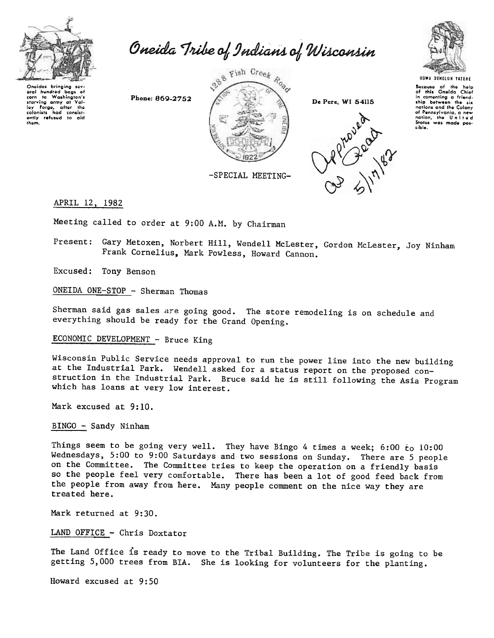

Oneida Tribe of Indians of Wisconsin

Onoidas bringing sov. oral hundrod bags 01 corn to Washington's starving army at Val-loy forgo, altor tho colonists had consist<br>ently <mark>refusud</mark> to aid thom.

Phone: 869-2752







kcouso of Iho harp of this Oneida Chiof in comenting a friend.<br>ship between the six nations and the Colony of Pennsylvania, a new nation, the United States was made pos-

-SPECIAL MEETING-

## APRIL 12. 1982

Meeting called to order at 9:00 A.M. by Chairman

Present: Gary Metoxen, Norbert Hill, Wendell McLester, Gordon McLester, Joy Ninham Frank Cornelius, Mark Powless, Howard Cannon.

Excused: Tony Benson

ONEIDA ONE-STOP - Sherman Thomas

Sherman said gas sales are going good. The store remodeling is on schedule and everything should be ready for the Grand Opening..

ECONOMIC DEVELOPMENT - Bruce King

Wisconsin Public Service needs approval to run the power line into the new building at the Industrial Park. Wendell asked for a status report on the proposed construction in the Industrial Park. Bruce said he is still following the Asia Program which has loans at very low interest.

Mark excused at 9:10.

BINGO - Sandy Ninham

Things seem to be going very well. They have Bingo 4 times a week;  $6:00$  to  $10:00$ Wednesdays, 5:00 to 9:00 Saturdays and two sessions on Sunday. There are 5 people on the Committee. The Committee tries to keep the operation on a friendly basis so the people feel very comfortable. There has been a lot of good feed back from the people from away from here. Many people comment on the nice way they are treated here.

Mark returned at 9:30.

LAND OFFICE - Chris Doxtator

The Land Office is ready to move to the Tribal Building. The Tribe is going to be getting 5,000 trees from BIA. She is looking for volunteers for the planting.

Howard excused at 9:50